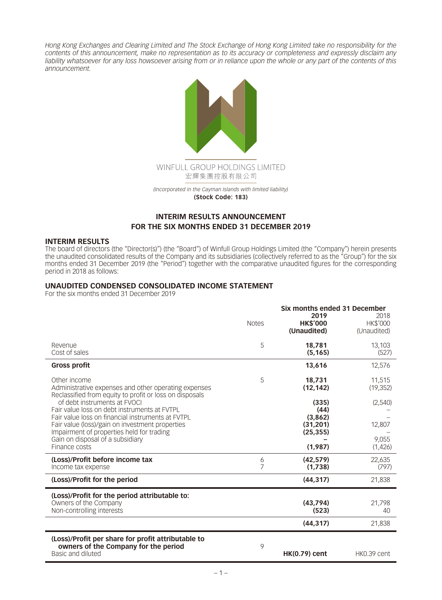*Hong Kong Exchanges and Clearing Limited and The Stock Exchange of Hong Kong Limited take no responsibility for the contents of this announcement, make no representation as to its accuracy or completeness and expressly disclaim any liability whatsoever for any loss howsoever arising from or in reliance upon the whole or any part of the contents of this announcement.*



**(Stock Code: 183)**

# **INTERIM RESULTS ANNOUNCEMENT FOR THE SIX MONTHS ENDED 31 DECEMBER 2019**

#### **INTERIM RESULTS**

The board of directors (the "Director(s)") (the "Board") of Winfull Group Holdings Limited (the "Company") herein presents the unaudited consolidated results of the Company and its subsidiaries (collectively referred to as the "Group") for the six months ended 31 December 2019 (the "Period") together with the comparative unaudited figures for the corresponding period in 2018 as follows:

#### **UNAUDITED CONDENSED CONSOLIDATED INCOME STATEMENT**

For the six months ended 31 December 2019

|                                                                                                                                 | <b>Notes</b> | Six months ended 31 December<br>2019<br><b>HK\$'000</b><br>(Unaudited) | 2018<br><b>HK\$'000</b><br>(Unaudited) |
|---------------------------------------------------------------------------------------------------------------------------------|--------------|------------------------------------------------------------------------|----------------------------------------|
| Revenue<br>Cost of sales                                                                                                        | 5            | 18,781<br>(5, 165)                                                     | 13,103<br>(527)                        |
| <b>Gross profit</b>                                                                                                             |              | 13,616                                                                 | 12,576                                 |
| Other income<br>Administrative expenses and other operating expenses<br>Reclassified from equity to profit or loss on disposals | 5            | 18,731<br>(12, 142)                                                    | 11,515<br>(19, 352)                    |
| of debt instruments at EVOCI<br>Fair value loss on debt instruments at FVTPL                                                    |              | (335)<br>(44)                                                          | (2,540)                                |
| Fair value loss on financial instruments at FVTPL<br>Fair value (loss)/gain on investment properties                            |              | (3,862)<br>(31, 201)                                                   | 12,807                                 |
| Impairment of properties held for trading<br>Gain on disposal of a subsidiary                                                   |              | (25, 355)                                                              | 9.055                                  |
| Finance costs                                                                                                                   |              | (1,987)                                                                | (1,426)                                |
| (Loss)/Profit before income tax<br>Income tax expense                                                                           | 6<br>7       | (42, 579)<br>(1,738)                                                   | 22,635<br>(797)                        |
| (Loss)/Profit for the period                                                                                                    |              | (44, 317)                                                              | 21,838                                 |
| (Loss)/Profit for the period attributable to:<br>Owners of the Company<br>Non-controlling interests                             |              | (43.794)<br>(523)                                                      | 21.798<br>40                           |
|                                                                                                                                 |              | (44, 317)                                                              | 21,838                                 |
| (Loss)/Profit per share for profit attributable to<br>owners of the Company for the period<br>Basic and diluted                 | 9            | <b>HK(0.79) cent</b>                                                   | HK0.39 cent                            |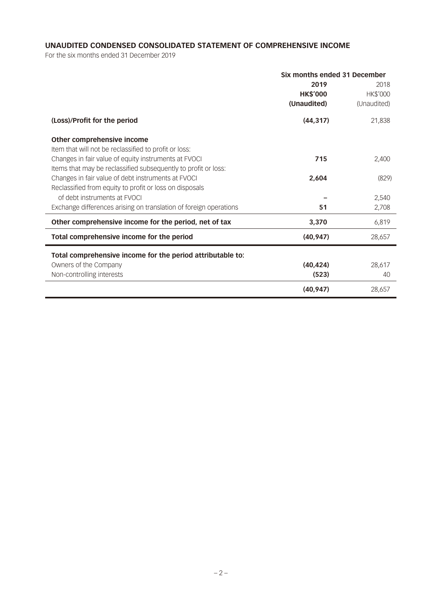# **UNAUDITED CONDENSED CONSOLIDATED STATEMENT OF COMPREHENSIVE INCOME**

For the six months ended 31 December 2019

|                                                                   | Six months ended 31 December |             |  |
|-------------------------------------------------------------------|------------------------------|-------------|--|
|                                                                   | 2019                         | 2018        |  |
|                                                                   | <b>HK\$'000</b>              | HK\$'000    |  |
|                                                                   | (Unaudited)                  | (Unaudited) |  |
| (Loss)/Profit for the period                                      | (44, 317)                    | 21,838      |  |
| Other comprehensive income                                        |                              |             |  |
| Item that will not be reclassified to profit or loss:             |                              |             |  |
| Changes in fair value of equity instruments at FVOCI              | 715                          | 2,400       |  |
| Items that may be reclassified subsequently to profit or loss:    |                              |             |  |
| Changes in fair value of debt instruments at FVOCI                | 2,604                        | (829)       |  |
| Reclassified from equity to profit or loss on disposals           |                              |             |  |
| of debt instruments at EVOCI                                      |                              | 2,540       |  |
| Exchange differences arising on translation of foreign operations | 51                           | 2,708       |  |
| Other comprehensive income for the period, net of tax             | 3,370                        | 6,819       |  |
| Total comprehensive income for the period                         | (40, 947)                    | 28,657      |  |
| Total comprehensive income for the period attributable to:        |                              |             |  |
| Owners of the Company                                             | (40, 424)                    | 28,617      |  |
| Non-controlling interests                                         | (523)                        | 40          |  |
|                                                                   | (40, 947)                    | 28,657      |  |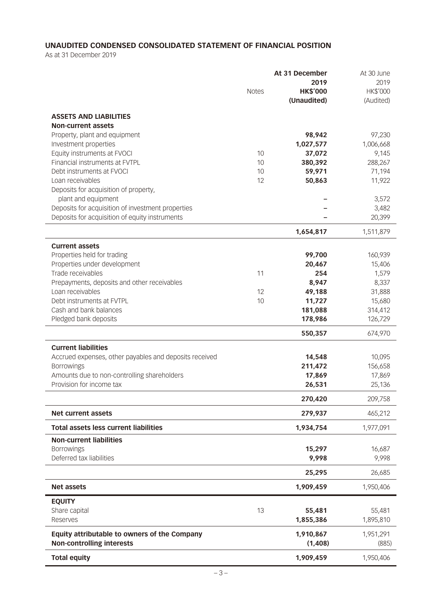# **UNAUDITED CONDENSED CONSOLIDATED STATEMENT OF FINANCIAL POSITION**

As at 31 December 2019

|                                                                          | <b>Notes</b> | At 31 December<br>2019<br><b>HK\$'000</b><br>(Unaudited) | At 30 June<br>2019<br>HK\$'000<br>(Audited) |
|--------------------------------------------------------------------------|--------------|----------------------------------------------------------|---------------------------------------------|
| <b>ASSETS AND LIABILITIES</b>                                            |              |                                                          |                                             |
| Non-current assets                                                       |              |                                                          |                                             |
| Property, plant and equipment                                            |              | 98,942                                                   | 97,230                                      |
| Investment properties                                                    |              | 1,027,577                                                | 1,006,668                                   |
| Equity instruments at FVOCI                                              | 10           | 37,072                                                   | 9,145                                       |
| Financial instruments at FVTPL                                           | 10           | 380,392                                                  | 288,267                                     |
| Debt instruments at FVOCI                                                | 10           | 59,971                                                   | 71,194                                      |
| Loan receivables                                                         | 12           | 50,863                                                   | 11,922                                      |
| Deposits for acquisition of property,                                    |              |                                                          |                                             |
| plant and equipment<br>Deposits for acquisition of investment properties |              |                                                          | 3,572<br>3,482                              |
| Deposits for acquisition of equity instruments                           |              |                                                          | 20,399                                      |
|                                                                          |              |                                                          |                                             |
|                                                                          |              | 1,654,817                                                | 1,511,879                                   |
| <b>Current assets</b>                                                    |              |                                                          |                                             |
| Properties held for trading                                              |              | 99,700                                                   | 160,939                                     |
| Properties under development                                             |              | 20,467                                                   | 15,406                                      |
| Trade receivables                                                        | 11           | 254                                                      | 1,579                                       |
| Prepayments, deposits and other receivables                              |              | 8,947                                                    | 8,337                                       |
| Loan receivables                                                         | 12           | 49,188                                                   | 31,888                                      |
| Debt instruments at FVTPL                                                | 10           | 11,727                                                   | 15,680                                      |
| Cash and bank balances                                                   |              | 181,088                                                  | 314,412                                     |
| Pledged bank deposits                                                    |              | 178,986                                                  | 126,729                                     |
|                                                                          |              | 550,357                                                  | 674,970                                     |
| <b>Current liabilities</b>                                               |              |                                                          |                                             |
| Accrued expenses, other payables and deposits received                   |              | 14,548                                                   | 10,095                                      |
| <b>Borrowings</b>                                                        |              | 211,472                                                  | 156,658                                     |
| Amounts due to non-controlling shareholders                              |              | 17,869                                                   | 17,869                                      |
| Provision for income tax                                                 |              | 26,531                                                   | 25,136                                      |
|                                                                          |              | 270,420                                                  | 209,758                                     |
| <b>Net current assets</b>                                                |              | 279,937                                                  | 465,212                                     |
| <b>Total assets less current liabilities</b>                             |              | 1,934,754                                                | 1,977,091                                   |
| <b>Non-current liabilities</b>                                           |              |                                                          |                                             |
| <b>Borrowings</b>                                                        |              | 15,297                                                   | 16,687                                      |
| Deferred tax liabilities                                                 |              | 9,998                                                    | 9,998                                       |
|                                                                          |              | 25,295                                                   | 26,685                                      |
| <b>Net assets</b>                                                        |              | 1,909,459                                                | 1,950,406                                   |
|                                                                          |              |                                                          |                                             |
| <b>EQUITY</b>                                                            |              |                                                          |                                             |
| Share capital                                                            | 13           | 55,481                                                   | 55,481                                      |
| Reserves                                                                 |              | 1,855,386                                                | 1,895,810                                   |
| Equity attributable to owners of the Company                             |              | 1,910,867                                                | 1,951,291                                   |
| <b>Non-controlling interests</b>                                         |              | (1,408)                                                  | (885)                                       |
| <b>Total equity</b>                                                      |              | 1,909,459                                                | 1,950,406                                   |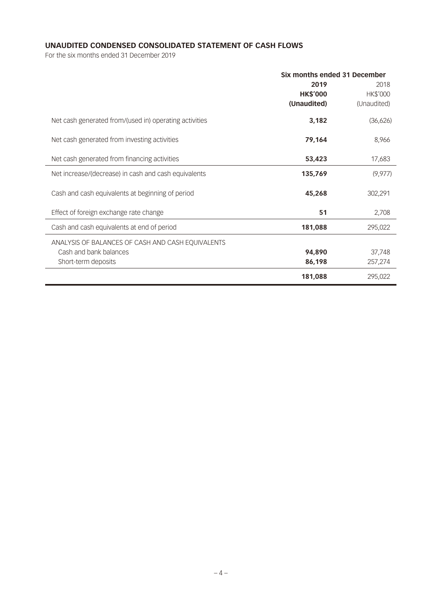# **UNAUDITED CONDENSED CONSOLIDATED STATEMENT OF CASH FLOWS**

For the six months ended 31 December 2019

|                                                        | Six months ended 31 December |             |  |
|--------------------------------------------------------|------------------------------|-------------|--|
|                                                        | 2019                         | 2018        |  |
|                                                        | <b>HK\$'000</b>              | HK\$'000    |  |
|                                                        | (Unaudited)                  | (Unaudited) |  |
| Net cash generated from/(used in) operating activities | 3,182                        | (36,626)    |  |
| Net cash generated from investing activities           | 79,164                       | 8,966       |  |
| Net cash generated from financing activities           | 53,423                       | 17,683      |  |
| Net increase/(decrease) in cash and cash equivalents   | 135,769                      | (9, 977)    |  |
| Cash and cash equivalents at beginning of period       | 45,268                       | 302,291     |  |
| Effect of foreign exchange rate change                 | 51                           | 2,708       |  |
| Cash and cash equivalents at end of period             | 181,088                      | 295,022     |  |
| ANALYSIS OF BALANCES OF CASH AND CASH EQUIVALENTS      |                              |             |  |
| Cash and bank balances                                 | 94,890                       | 37,748      |  |
| Short-term deposits                                    | 86,198                       | 257,274     |  |
|                                                        | 181,088                      | 295,022     |  |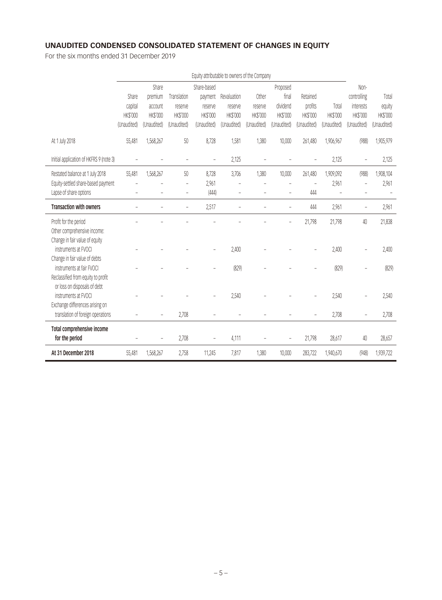# **UNAUDITED CONDENSED CONSOLIDATED STATEMENT OF CHANGES IN EQUITY**

For the six months ended 31 December 2019

|                                         | Equity attributable to owners of the Company |                 |             |             |                 |                 |                 |             |             |                |                 |
|-----------------------------------------|----------------------------------------------|-----------------|-------------|-------------|-----------------|-----------------|-----------------|-------------|-------------|----------------|-----------------|
|                                         |                                              | Share           |             | Share-based |                 |                 | Proposed        |             |             | Non-           |                 |
|                                         | Share                                        | premium         | Translation | payment     | Revaluation     | Other           | final           | Retained    |             | controlling    | Total           |
|                                         | capital                                      | account         | reserve     | reserve     | reserve         | reserve         | dividend        | profits     | Total       | interests      | equity          |
|                                         | HK\$'000                                     | <b>HK\$'000</b> | HK\$'000    | HK\$'000    | <b>HK\$'000</b> | <b>HK\$'000</b> | <b>HK\$'000</b> | HK\$'000    | HK\$'000    | HK\$'000       | <b>HK\$'000</b> |
|                                         | (Unaudited)                                  | (Unaudited)     | (Unaudited) | (Unaudited) | (Unaudited)     | (Unaudited)     | (Unaudited)     | (Unaudited) | (Unaudited) | (Unaudited)    | (Unaudited)     |
| At 1 July 2018                          | 55,481                                       | 1,568,267       | 50          | 8,728       | 1,581           | 1,380           | 10,000          | 261,480     | 1,906,967   | (988)          | 1,905,979       |
| Initial application of HKFRS 9 (note 3) |                                              |                 |             |             | 2,125           |                 |                 |             | 2,125       | ÷,             | 2,125           |
| Restated balance at 1 July 2018         | 55,481                                       | 1,568,267       | 50          | 8,728       | 3,706           | 1,380           | 10,000          | 261,480     | 1,909,092   | (988)          | 1,908,104       |
| Equity-settled share-based payment      |                                              |                 | ÷,          | 2,961       | L               |                 |                 | Ē,          | 2,961       | $\overline{a}$ | 2,961           |
| Lapse of share options                  |                                              |                 | ÷           | (444)       | L               |                 |                 | 444         |             |                |                 |
| <b>Transaction with owners</b>          |                                              |                 |             | 2,517       |                 |                 |                 | 444         | 2,961       | ÷              | 2,961           |
| Profit for the period                   |                                              |                 |             |             |                 |                 |                 | 21,798      | 21,798      | 40             | 21,838          |
| Other comprehensive income:             |                                              |                 |             |             |                 |                 |                 |             |             |                |                 |
| Change in fair value of equity          |                                              |                 |             |             |                 |                 |                 |             |             |                |                 |
| instruments at FVOCI                    |                                              |                 |             |             | 2,400           |                 |                 |             | 2,400       |                | 2,400           |
| Change in fair value of debts           |                                              |                 |             |             |                 |                 |                 |             |             |                |                 |
| instruments at fair FVOCI               |                                              |                 |             |             | (829)           |                 |                 |             | (829)       |                | (829)           |
| Reclassified from equity to profit      |                                              |                 |             |             |                 |                 |                 |             |             |                |                 |
| or loss on disposals of debt            |                                              |                 |             |             |                 |                 |                 |             |             |                |                 |
| instruments at FVOCI                    |                                              |                 |             |             | 2,540           |                 |                 |             | 2,540       |                | 2,540           |
| Exchange differences arising on         |                                              |                 |             |             |                 |                 |                 |             |             |                |                 |
| translation of foreign operations       |                                              |                 | 2,708       |             |                 |                 |                 |             | 2,708       |                | 2,708           |
| Total comprehensive income              |                                              |                 |             |             |                 |                 |                 |             |             |                |                 |
| for the period                          |                                              |                 | 2,708       |             | 4,111           |                 |                 | 21,798      | 28,617      | 40             | 28,657          |
| At 31 December 2018                     | 55,481                                       | 1,568,267       | 2,758       | 11,245      | 7,817           | 1,380           | 10,000          | 283,722     | 1,940,670   | (948)          | 1,939,722       |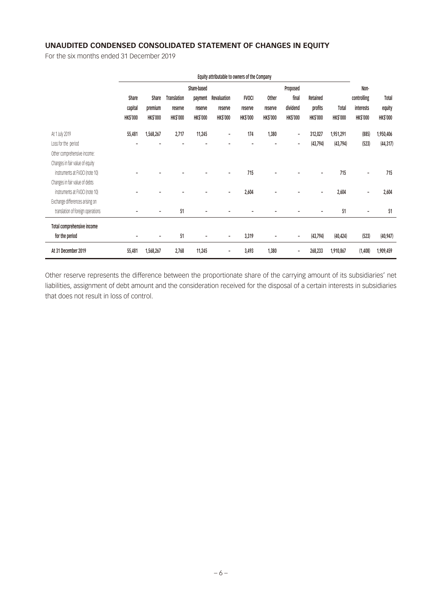# **UNAUDITED CONDENSED CONSOLIDATED STATEMENT OF CHANGES IN EQUITY**

For the six months ended 31 December 2019

|                                   | Equity attributable to owners of the Company |                 |                    |                 |                 |                 |                 |                          |                 |                 |                          |                 |
|-----------------------------------|----------------------------------------------|-----------------|--------------------|-----------------|-----------------|-----------------|-----------------|--------------------------|-----------------|-----------------|--------------------------|-----------------|
|                                   |                                              |                 |                    | Share-based     |                 |                 |                 | Proposed                 |                 |                 | Non-                     |                 |
|                                   | Share                                        | Share           | <b>Translation</b> | payment         | Revaluation     | <b>FVOCI</b>    | Other           | final                    | Retained        |                 | controlling              | Total           |
|                                   | capital                                      | premium         | reserve            | reserve         | reserve         | reserve         | reserve         | dividend                 | profits         | Total           | <b>interests</b>         | equity          |
|                                   | <b>HK\$'000</b>                              | <b>HK\$'000</b> | <b>HK\$'000</b>    | <b>HK\$'000</b> | <b>HK\$'000</b> | <b>HK\$'000</b> | <b>HK\$'000</b> | <b>HK\$'000</b>          | <b>HK\$'000</b> | <b>HK\$'000</b> | <b>HK\$'000</b>          | <b>HK\$'000</b> |
| At 1 July 2019                    | 55,481                                       | 1,568,267       | 2,717              | 11,245          | ۰               | 174             | 1,380           | $\overline{\phantom{a}}$ | 312,027         | 1,951,291       | (885)                    | 1,950,406       |
| Loss for the period               |                                              |                 |                    |                 |                 |                 |                 | ٠                        | (43,794)        | (43, 794)       | (523)                    | (44, 317)       |
| Other comprehensive income:       |                                              |                 |                    |                 |                 |                 |                 |                          |                 |                 |                          |                 |
| Changes in fair value of equity   |                                              |                 |                    |                 |                 |                 |                 |                          |                 |                 |                          |                 |
| instruments at FVOCI (note 10)    |                                              |                 |                    |                 |                 | 715             |                 |                          |                 | 715             | $\overline{\phantom{a}}$ | 715             |
| Changes in fair value of debts    |                                              |                 |                    |                 |                 |                 |                 |                          |                 |                 |                          |                 |
| instruments at FVOCI (note 10)    |                                              |                 |                    |                 |                 | 2,604           |                 |                          |                 | 2,604           |                          | 2,604           |
| Exchange differences arising on   |                                              |                 |                    |                 |                 |                 |                 |                          |                 |                 |                          |                 |
| translation of foreign operations |                                              |                 | 51                 |                 |                 |                 |                 |                          |                 | 51              |                          | 51              |
| Total comprehensive income        |                                              |                 |                    |                 |                 |                 |                 |                          |                 |                 |                          |                 |
| for the period                    | -                                            | $\blacksquare$  | 51                 |                 |                 | 3,319           |                 | ٠                        | (43, 794)       | (40, 424)       | (523)                    | (40, 947)       |
| At 31 December 2019               | 55,481                                       | 1,568,267       | 2,768              | 11,245          |                 | 3,493           | 1,380           |                          | 268,233         | 1,910,867       | (1,408)                  | 1,909,459       |

Other reserve represents the difference between the proportionate share of the carrying amount of its subsidiaries' net liabilities, assignment of debt amount and the consideration received for the disposal of a certain interests in subsidiaries that does not result in loss of control.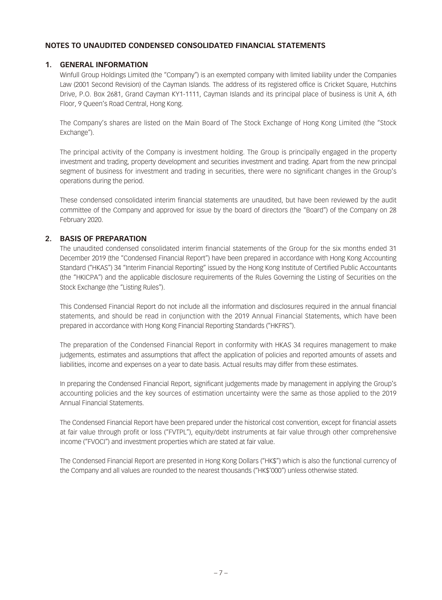# **NOTES TO UNAUDITED CONDENSED CONSOLIDATED FINANCIAL STATEMENTS**

## **1. GENERAL INFORMATION**

Winfull Group Holdings Limited (the "Company") is an exempted company with limited liability under the Companies Law (2001 Second Revision) of the Cayman Islands. The address of its registered office is Cricket Square, Hutchins Drive, P.O. Box 2681, Grand Cayman KY1-1111, Cayman Islands and its principal place of business is Unit A, 6th Floor, 9 Queen's Road Central, Hong Kong.

The Company's shares are listed on the Main Board of The Stock Exchange of Hong Kong Limited (the "Stock Exchange").

The principal activity of the Company is investment holding. The Group is principally engaged in the property investment and trading, property development and securities investment and trading. Apart from the new principal segment of business for investment and trading in securities, there were no significant changes in the Group's operations during the period.

These condensed consolidated interim financial statements are unaudited, but have been reviewed by the audit committee of the Company and approved for issue by the board of directors (the "Board") of the Company on 28 February 2020.

# **2. BASIS OF PREPARATION**

The unaudited condensed consolidated interim financial statements of the Group for the six months ended 31 December 2019 (the "Condensed Financial Report") have been prepared in accordance with Hong Kong Accounting Standard ("HKAS") 34 "Interim Financial Reporting" issued by the Hong Kong Institute of Certified Public Accountants (the "HKICPA") and the applicable disclosure requirements of the Rules Governing the Listing of Securities on the Stock Exchange (the "Listing Rules").

This Condensed Financial Report do not include all the information and disclosures required in the annual financial statements, and should be read in conjunction with the 2019 Annual Financial Statements, which have been prepared in accordance with Hong Kong Financial Reporting Standards ("HKFRS").

The preparation of the Condensed Financial Report in conformity with HKAS 34 requires management to make judgements, estimates and assumptions that affect the application of policies and reported amounts of assets and liabilities, income and expenses on a year to date basis. Actual results may differ from these estimates.

In preparing the Condensed Financial Report, significant judgements made by management in applying the Group's accounting policies and the key sources of estimation uncertainty were the same as those applied to the 2019 Annual Financial Statements.

The Condensed Financial Report have been prepared under the historical cost convention, except for financial assets at fair value through profit or loss ("FVTPL"), equity/debt instruments at fair value through other comprehensive income ("FVOCI") and investment properties which are stated at fair value.

The Condensed Financial Report are presented in Hong Kong Dollars ("HK\$") which is also the functional currency of the Company and all values are rounded to the nearest thousands ("HK\$'000") unless otherwise stated.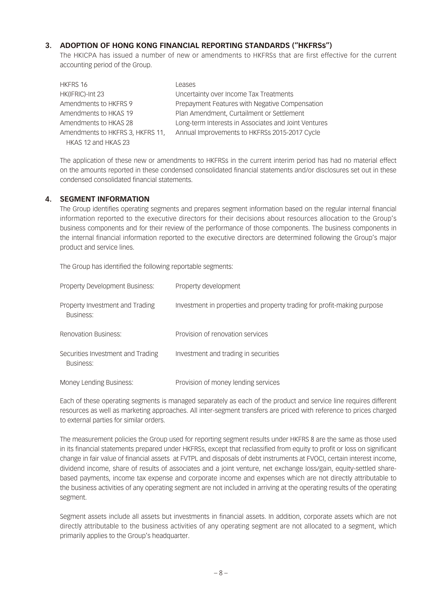## **3. ADOPTION OF HONG KONG FINANCIAL REPORTING STANDARDS ("HKFRSs")**

The HKICPA has issued a number of new or amendments to HKFRSs that are first effective for the current accounting period of the Group.

| <b>HKFRS 16</b>                  | Leases                                               |
|----------------------------------|------------------------------------------------------|
| HK(IFRIC)-Int 23                 | Uncertainty over Income Tax Treatments               |
| Amendments to HKFRS 9            | Prepayment Features with Negative Compensation       |
| Amendments to HKAS 19            | Plan Amendment, Curtailment or Settlement            |
| Amendments to HKAS 28            | Long-term Interests in Associates and Joint Ventures |
| Amendments to HKFRS 3, HKFRS 11, | Annual Improvements to HKFRSs 2015-2017 Cycle        |
| HKAS 12 and HKAS 23              |                                                      |

The application of these new or amendments to HKFRSs in the current interim period has had no material effect on the amounts reported in these condensed consolidated financial statements and/or disclosures set out in these condensed consolidated financial statements.

### **4. SEGMENT INFORMATION**

The Group identifies operating segments and prepares segment information based on the regular internal financial information reported to the executive directors for their decisions about resources allocation to the Group's business components and for their review of the performance of those components. The business components in the internal financial information reported to the executive directors are determined following the Group's major product and service lines.

The Group has identified the following reportable segments:

| Property Development Business:                 | Property development                                                    |
|------------------------------------------------|-------------------------------------------------------------------------|
| Property Investment and Trading<br>Business:   | Investment in properties and property trading for profit-making purpose |
| Renovation Business:                           | Provision of renovation services                                        |
| Securities Investment and Trading<br>Business: | Investment and trading in securities                                    |
| Money Lending Business:                        | Provision of money lending services                                     |

Each of these operating segments is managed separately as each of the product and service line requires different resources as well as marketing approaches. All inter-segment transfers are priced with reference to prices charged to external parties for similar orders.

The measurement policies the Group used for reporting segment results under HKFRS 8 are the same as those used in its financial statements prepared under HKFRSs, except that reclassified from equity to profit or loss on significant change in fair value of financial assets at FVTPL and disposals of debt instruments at FVOCI, certain interest income, dividend income, share of results of associates and a joint venture, net exchange loss/gain, equity-settled sharebased payments, income tax expense and corporate income and expenses which are not directly attributable to the business activities of any operating segment are not included in arriving at the operating results of the operating segment.

Segment assets include all assets but investments in financial assets. In addition, corporate assets which are not directly attributable to the business activities of any operating segment are not allocated to a segment, which primarily applies to the Group's headquarter.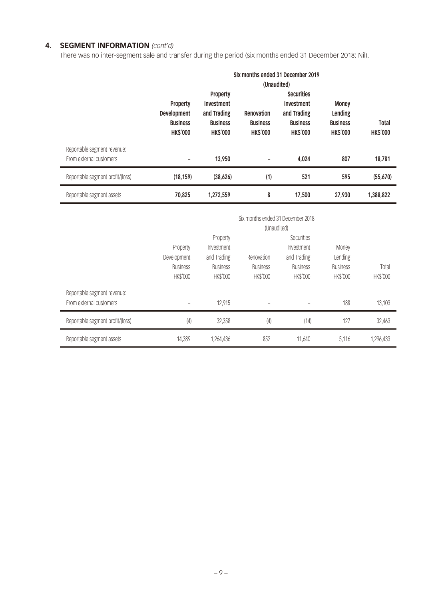# **4. SEGMENT INFORMATION** *(cont'd)*

There was no inter-segment sale and transfer during the period (six months ended 31 December 2018: Nil).

|                                  |                 |                 |                 | Six months ended 31 December 2019 |                 |                 |
|----------------------------------|-----------------|-----------------|-----------------|-----------------------------------|-----------------|-----------------|
|                                  |                 |                 |                 | (Unaudited)                       |                 |                 |
|                                  |                 | Property        |                 | <b>Securities</b>                 |                 |                 |
|                                  | Property        | Investment      |                 | Investment                        | <b>Money</b>    |                 |
|                                  | Development     | and Trading     | Renovation      | and Trading                       | Lending         |                 |
|                                  | <b>Business</b> | <b>Business</b> | <b>Business</b> | <b>Business</b>                   | <b>Business</b> | <b>Total</b>    |
|                                  | <b>HK\$'000</b> | <b>HK\$'000</b> | <b>HK\$'000</b> | <b>HK\$'000</b>                   | <b>HK\$'000</b> | <b>HK\$'000</b> |
| Reportable segment revenue:      |                 |                 |                 |                                   |                 |                 |
| From external customers          |                 | 13,950          |                 | 4,024                             | 807             | 18,781          |
| Reportable segment profit/(loss) | (18, 159)       | (38, 626)       | (1)             | 521                               | 595             | (55, 670)       |
| Reportable segment assets        | 70,825          | 1,272,559       | 8               | 17,500                            | 27,930          | 1,388,822       |
|                                  |                 |                 |                 | Six months ended 31 December 2018 |                 |                 |
|                                  |                 |                 |                 | (Unaudited)                       |                 |                 |
|                                  |                 |                 |                 | Securities                        |                 |                 |
|                                  |                 | Property        |                 | Investment                        |                 |                 |
|                                  | Property        | Investment      |                 |                                   | Money           |                 |
|                                  | Development     | and Trading     | Renovation      | and Trading                       | Lending         |                 |
|                                  | <b>Business</b> | <b>Business</b> | <b>Business</b> | <b>Business</b>                   | <b>Business</b> | Total           |
|                                  | HK\$'000        | HK\$'000        | HK\$'000        | HK\$'000                          | HK\$'000        | HK\$'000        |
| Reportable segment revenue:      |                 |                 |                 |                                   |                 |                 |
| From external customers          |                 | 12,915          |                 |                                   | 188             | 13,103          |

Reportable segment profit/(loss) (4) 32,358 (4) 32,463 (14) 127 32,463

Reportable segment assets 11,389 1,264,436 852 11,640 5,116 1,296,433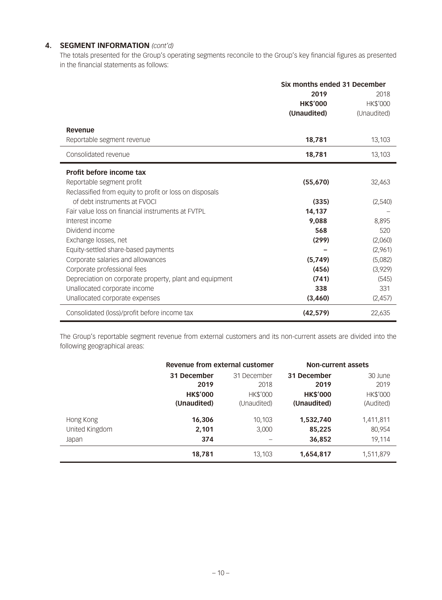# **4. SEGMENT INFORMATION** *(cont'd)*

The totals presented for the Group's operating segments reconcile to the Group's key financial figures as presented in the financial statements as follows:

|                                                         | Six months ended 31 December |                 |  |
|---------------------------------------------------------|------------------------------|-----------------|--|
|                                                         | 2019                         | 2018            |  |
|                                                         | <b>HK\$'000</b>              | <b>HK\$'000</b> |  |
|                                                         | (Unaudited)                  | (Unaudited)     |  |
| Revenue                                                 |                              |                 |  |
| Reportable segment revenue                              | 18,781                       | 13,103          |  |
| Consolidated revenue                                    | 18,781                       | 13,103          |  |
| Profit before income tax                                |                              |                 |  |
| Reportable segment profit                               | (55,670)                     | 32,463          |  |
| Reclassified from equity to profit or loss on disposals |                              |                 |  |
| of debt instruments at EVOCL                            | (335)                        | (2,540)         |  |
| Fair value loss on financial instruments at FVTPL       | 14.137                       |                 |  |
| Interest income                                         | 9.088                        | 8.895           |  |
| Dividend income                                         | 568                          | 520             |  |
| Exchange losses, net                                    | (299)                        | (2,060)         |  |
| Equity-settled share-based payments                     |                              | (2,961)         |  |
| Corporate salaries and allowances                       | (5,749)                      | (5,082)         |  |
| Corporate professional fees                             | (456)                        | (3,929)         |  |
| Depreciation on corporate property, plant and equipment | (741)                        | (545)           |  |
| Unallocated corporate income                            | 338                          | 331             |  |
| Unallocated corporate expenses                          | (3,460)                      | (2,457)         |  |
| Consolidated (loss)/profit before income tax            | (42, 579)                    | 22,635          |  |

The Group's reportable segment revenue from external customers and its non-current assets are divided into the following geographical areas:

|                | Revenue from external customer |                 | <b>Non-current assets</b> |                 |  |
|----------------|--------------------------------|-----------------|---------------------------|-----------------|--|
|                | 31 December                    | 31 December     | 31 December               | 30 June         |  |
|                | 2019                           | 2018            | 2019                      | 2019            |  |
|                | <b>HK\$'000</b>                | <b>HK\$'000</b> | <b>HK\$'000</b>           | <b>HK\$'000</b> |  |
|                | (Unaudited)                    | (Unaudited)     | (Unaudited)               | (Audited)       |  |
| Hong Kong      | 16,306                         | 10,103          | 1,532,740                 | 1,411,811       |  |
| United Kingdom | 2,101                          | 3,000           | 85,225                    | 80,954          |  |
| Japan          | 374                            |                 | 36,852                    | 19,114          |  |
|                | 18,781                         | 13,103          | 1,654,817                 | 1,511,879       |  |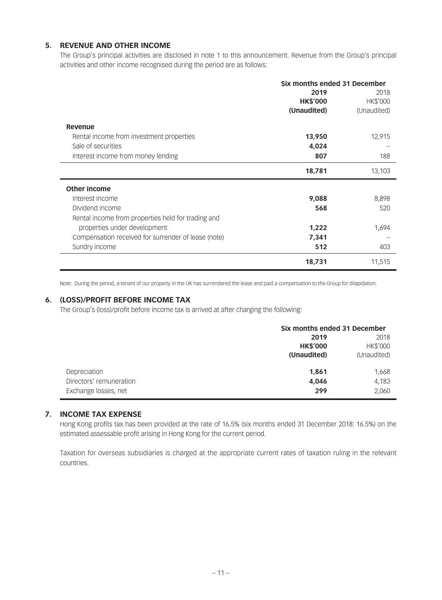# **5. REVENUE AND OTHER INCOME**

The Group's principal activities are disclosed in note 1 to this announcement. Revenue from the Group's principal activities and other income recognised during the period are as follows:

|                                                     | Six months ended 31 December |             |  |
|-----------------------------------------------------|------------------------------|-------------|--|
|                                                     | 2019                         | 2018        |  |
|                                                     | <b>HK\$'000</b>              | HK\$'000    |  |
|                                                     | (Unaudited)                  | (Unaudited) |  |
| Revenue                                             |                              |             |  |
| Rental income from investment properties            | 13,950                       | 12,915      |  |
| Sale of securities                                  | 4,024                        |             |  |
| Interest income from money lending                  | 807                          | 188         |  |
|                                                     | 18,781                       | 13,103      |  |
| <b>Other income</b>                                 |                              |             |  |
| Interest income                                     | 9,088                        | 8,898       |  |
| Dividend income                                     | 568                          | 520         |  |
| Rental income from properties held for trading and  |                              |             |  |
| properties under development                        | 1,222                        | 1,694       |  |
| Compensation received for surrender of lease (note) | 7,341                        |             |  |
| Sundry income                                       | 512                          | 403         |  |
|                                                     | 18,731                       | 11,515      |  |

Note: During the period, a tenant of our property in the UK has surrendered the lease and paid a compensation to the Group for dilapidation.

### **6. (LOSS)/PROFIT BEFORE INCOME TAX**

The Group's (loss)/profit before income tax is arrived at after charging the following:

|                         | Six months ended 31 December |                 |  |
|-------------------------|------------------------------|-----------------|--|
|                         | 2018<br>2019                 |                 |  |
|                         | <b>HK\$'000</b>              | <b>HK\$'000</b> |  |
|                         | (Unaudited)                  | (Unaudited)     |  |
| Depreciation            | 1,861                        | 1,668           |  |
| Directors' remuneration | 4,046                        | 4,183           |  |
| Exchange losses, net    | 299                          | 2,060           |  |

## **7. INCOME TAX EXPENSE**

Hong Kong profits tax has been provided at the rate of 16.5% (six months ended 31 December 2018: 16.5%) on the estimated assessable profit arising in Hong Kong for the current period.

Taxation for overseas subsidiaries is charged at the appropriate current rates of taxation ruling in the relevant countries.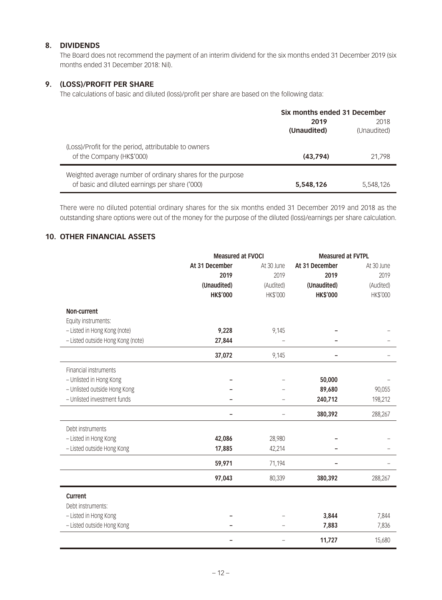# **8. DIVIDENDS**

The Board does not recommend the payment of an interim dividend for the six months ended 31 December 2019 (six months ended 31 December 2018: Nil).

## **9. (LOSS)/PROFIT PER SHARE**

The calculations of basic and diluted (loss)/profit per share are based on the following data:

|                                                                                                              | Six months ended 31 December |             |  |
|--------------------------------------------------------------------------------------------------------------|------------------------------|-------------|--|
|                                                                                                              | 2019                         |             |  |
|                                                                                                              | (Unaudited)                  | (Unaudited) |  |
| (Loss)/Profit for the period, attributable to owners<br>of the Company (HK\$'000)                            | (43.794)                     | 21.798      |  |
| Weighted average number of ordinary shares for the purpose<br>of basic and diluted earnings per share ('000) | 5,548,126                    | 5.548.126   |  |

There were no diluted potential ordinary shares for the six months ended 31 December 2019 and 2018 as the outstanding share options were out of the money for the purpose of the diluted (loss)/earnings per share calculation.

# **10. OTHER FINANCIAL ASSETS**

|                                   | <b>Measured at FVOCI</b> |            | <b>Measured at FVTPL</b> |            |  |
|-----------------------------------|--------------------------|------------|--------------------------|------------|--|
|                                   | At 31 December           | At 30 June | At 31 December           | At 30 June |  |
|                                   | 2019                     | 2019       | 2019                     | 2019       |  |
|                                   | (Unaudited)              | (Audited)  | (Unaudited)              | (Audited)  |  |
|                                   | <b>HK\$'000</b>          | HK\$'000   | <b>HK\$'000</b>          | HK\$'000   |  |
| Non-current                       |                          |            |                          |            |  |
| Equity instruments:               |                          |            |                          |            |  |
| - Listed in Hong Kong (note)      | 9,228                    | 9,145      |                          |            |  |
| - Listed outside Hong Kong (note) | 27,844                   |            |                          |            |  |
|                                   | 37,072                   | 9,145      |                          |            |  |
| Financial instruments             |                          |            |                          |            |  |
| - Unlisted in Hong Kong           |                          |            | 50,000                   |            |  |
| - Unlisted outside Hong Kong      |                          |            | 89,680                   | 90,055     |  |
| - Unlisted investment funds       |                          |            | 240,712                  | 198,212    |  |
|                                   |                          |            | 380,392                  | 288,267    |  |
| Debt instruments                  |                          |            |                          |            |  |
| - Listed in Hong Kong             | 42,086                   | 28,980     |                          |            |  |
| - Listed outside Hong Kong        | 17,885                   | 42,214     |                          |            |  |
|                                   | 59,971                   | 71,194     |                          |            |  |
|                                   | 97,043                   | 80,339     | 380,392                  | 288,267    |  |
| Current                           |                          |            |                          |            |  |
| Debt instruments:                 |                          |            |                          |            |  |
| - Listed in Hong Kong             |                          |            | 3,844                    | 7,844      |  |
| - Listed outside Hong Kong        |                          |            | 7,883                    | 7,836      |  |
|                                   |                          |            | 11,727                   | 15,680     |  |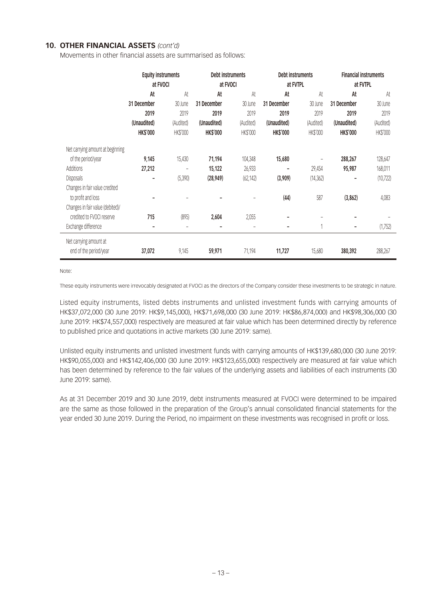## **10. OTHER FINANCIAL ASSETS** *(cont'd)*

Movements in other financial assets are summarised as follows:

|                                  | <b>Equity instruments</b> |           | Debt instruments |           | Debt instruments |                   | <b>Financial instruments</b> |           |
|----------------------------------|---------------------------|-----------|------------------|-----------|------------------|-------------------|------------------------------|-----------|
|                                  | at FVOCI                  |           | at FVOCI         |           | at FVTPL         |                   | at FVTPL                     |           |
|                                  | At                        | At        | At               | At        | At               | At                | At                           | At        |
|                                  | 31 December               | 30 June   | 31 December      | 30 June   | 31 December      | 30 June           | 31 December                  | 30 June   |
|                                  | 2019                      | 2019      | 2019             | 2019      | 2019             | 2019              | 2019                         | 2019      |
|                                  | (Unaudited)               | (Audited) | (Unaudited)      | (Audited) | (Unaudited)      | (Audited)         | (Unaudited)                  | (Audited) |
|                                  | <b>HK\$'000</b>           | HK\$'000  | <b>HK\$'000</b>  | HK\$'000  | <b>HK\$'000</b>  | HK\$'000          | <b>HK\$'000</b>              | HK\$'000  |
| Net carrying amount at beginning |                           |           |                  |           |                  |                   |                              |           |
| of the period/year               | 9,145                     | 15,430    | 71,194           | 104,348   | 15,680           | $\qquad \qquad -$ | 288,267                      | 128,647   |
| Additions                        | 27,212                    | -         | 15,122           | 26,933    | ۰                | 29,454            | 95,987                       | 168,011   |
| <b>Disposals</b>                 | -                         | (5, 390)  | (28, 949)        | (62, 142) | (3,909)          | (14, 362)         | ۰                            | (10, 722) |
| Changes in fair value credited   |                           |           |                  |           |                  |                   |                              |           |
| to profit and loss               |                           |           |                  |           | (44)             | 587               | (3, 862)                     | 4,083     |
| Changes in fair value (debited)/ |                           |           |                  |           |                  |                   |                              |           |
| credited to FVOCI reserve        | 715                       | (895)     | 2,604            | 2,055     |                  |                   |                              |           |
| Exchange difference              |                           |           |                  |           |                  |                   | ۰                            | (1,752)   |
| Net carrying amount at           |                           |           |                  |           |                  |                   |                              |           |
| end of the period/year           | 37,072                    | 9,145     | 59,971           | 71,194    | 11,727           | 15,680            | 380,392                      | 288,267   |

Note:

These equity instruments were irrevocably designated at FVOCI as the directors of the Company consider these investments to be strategic in nature.

Listed equity instruments, listed debts instruments and unlisted investment funds with carrying amounts of HK\$37,072,000 (30 June 2019: HK\$9,145,000), HK\$71,698,000 (30 June 2019: HK\$86,874,000) and HK\$98,306,000 (30 June 2019: HK\$74,557,000) respectively are measured at fair value which has been determined directly by reference to published price and quotations in active markets (30 June 2019: same).

Unlisted equity instruments and unlisted investment funds with carrying amounts of HK\$139,680,000 (30 June 2019: HK\$90,055,000) and HK\$142,406,000 (30 June 2019: HK\$123,655,000) respectively are measured at fair value which has been determined by reference to the fair values of the underlying assets and liabilities of each instruments (30 June 2019: same).

As at 31 December 2019 and 30 June 2019, debt instruments measured at FVOCI were determined to be impaired are the same as those followed in the preparation of the Group's annual consolidated financial statements for the year ended 30 June 2019. During the Period, no impairment on these investments was recognised in profit or loss.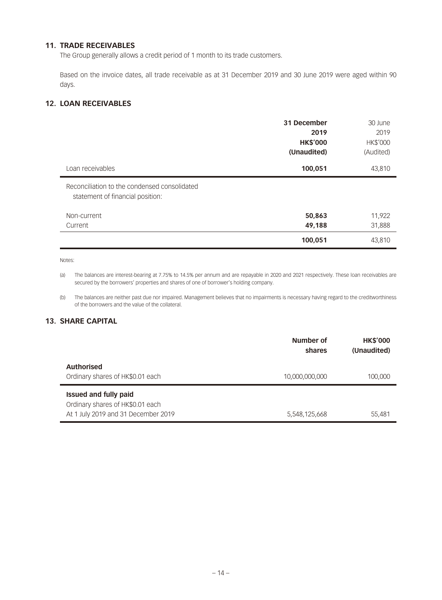# **11. TRADE RECEIVABLES**

The Group generally allows a credit period of 1 month to its trade customers.

Based on the invoice dates, all trade receivable as at 31 December 2019 and 30 June 2019 were aged within 90 days.

# **12. LOAN RECEIVABLES**

|                                                                                  | 31 December<br>2019<br><b>HK\$'000</b><br>(Unaudited) | 30 June<br>2019<br><b>HK\$'000</b><br>(Audited) |
|----------------------------------------------------------------------------------|-------------------------------------------------------|-------------------------------------------------|
| Loan receivables                                                                 | 100,051                                               | 43,810                                          |
| Reconciliation to the condensed consolidated<br>statement of financial position: |                                                       |                                                 |
| Non-current                                                                      | 50,863                                                | 11,922                                          |
| Current                                                                          | 49,188                                                | 31,888                                          |
|                                                                                  | 100,051                                               | 43,810                                          |

Notes:

(a) The balances are interest-bearing at 7.75% to 14.5% per annum and are repayable in 2020 and 2021 respectively. These loan receivables are secured by the borrowers' properties and shares of one of borrower's holding company.

(b) The balances are neither past due nor impaired. Management believes that no impairments is necessary having regard to the creditworthiness of the borrowers and the value of the collateral.

# **13. SHARE CAPITAL**

|                                                                                                         | Number of<br>shares | <b>HK\$'000</b><br>(Unaudited) |
|---------------------------------------------------------------------------------------------------------|---------------------|--------------------------------|
| <b>Authorised</b><br>Ordinary shares of HK\$0.01 each                                                   | 10,000,000,000      | 100,000                        |
| <b>Issued and fully paid</b><br>Ordinary shares of HK\$0.01 each<br>At 1 July 2019 and 31 December 2019 | 5,548,125,668       | 55,481                         |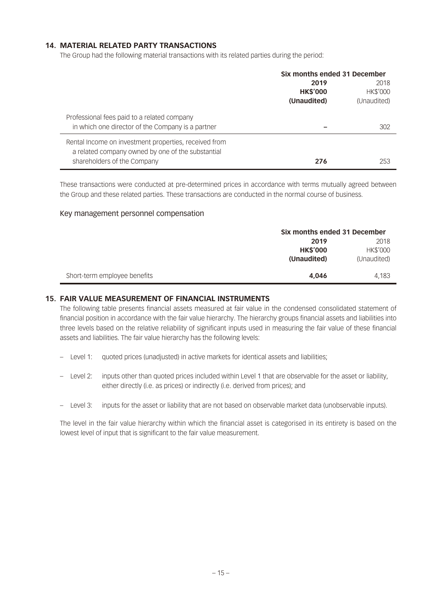## **14. MATERIAL RELATED PARTY TRANSACTIONS**

The Group had the following material transactions with its related parties during the period:

|                                                       | Six months ended 31 December |                 |  |
|-------------------------------------------------------|------------------------------|-----------------|--|
|                                                       | 2019                         |                 |  |
|                                                       | <b>HK\$'000</b>              | <b>HK\$'000</b> |  |
|                                                       | (Unaudited)                  | (Unaudited)     |  |
| Professional fees paid to a related company           |                              |                 |  |
| in which one director of the Company is a partner     |                              | 302             |  |
| Rental Income on investment properties, received from |                              |                 |  |
| a related company owned by one of the substantial     |                              |                 |  |
| shareholders of the Company                           | 276                          | 253             |  |

These transactions were conducted at pre-determined prices in accordance with terms mutually agreed between the Group and these related parties. These transactions are conducted in the normal course of business.

### Key management personnel compensation

|                              |                 | Six months ended 31 December |  |  |
|------------------------------|-----------------|------------------------------|--|--|
|                              | 2019            | 2018                         |  |  |
|                              | <b>HK\$'000</b> | <b>HK\$'000</b>              |  |  |
|                              | (Unaudited)     | (Unaudited)                  |  |  |
|                              |                 |                              |  |  |
| Short-term employee benefits | 4,046           | 4,183                        |  |  |

### **15. FAIR VALUE MEASUREMENT OF FINANCIAL INSTRUMENTS**

The following table presents financial assets measured at fair value in the condensed consolidated statement of financial position in accordance with the fair value hierarchy. The hierarchy groups financial assets and liabilities into three levels based on the relative reliability of significant inputs used in measuring the fair value of these financial assets and liabilities. The fair value hierarchy has the following levels:

- Level 1: quoted prices (unadjusted) in active markets for identical assets and liabilities;
- Level 2: inputs other than quoted prices included within Level 1 that are observable for the asset or liability, either directly (i.e. as prices) or indirectly (i.e. derived from prices); and
- Level 3: inputs for the asset or liability that are not based on observable market data (unobservable inputs).

The level in the fair value hierarchy within which the financial asset is categorised in its entirety is based on the lowest level of input that is significant to the fair value measurement.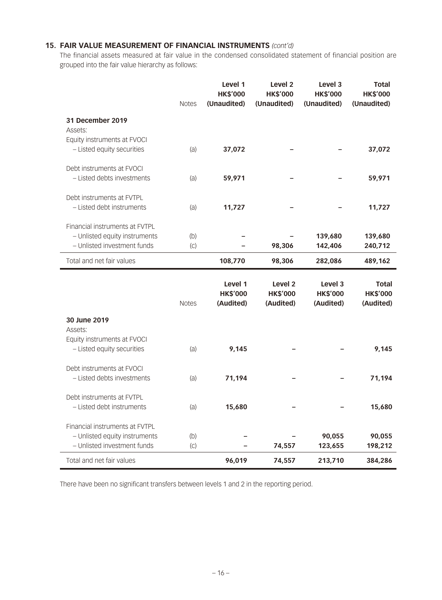# **15. FAIR VALUE MEASUREMENT OF FINANCIAL INSTRUMENTS** *(cont'd)*

The financial assets measured at fair value in the condensed consolidated statement of financial position are grouped into the fair value hierarchy as follows:

|                                | <b>Notes</b> | Level 1<br><b>HK\$'000</b><br>(Unaudited) | Level <sub>2</sub><br><b>HK\$'000</b><br>(Unaudited) | Level 3<br><b>HK\$'000</b><br>(Unaudited) | <b>Total</b><br><b>HK\$'000</b><br>(Unaudited) |
|--------------------------------|--------------|-------------------------------------------|------------------------------------------------------|-------------------------------------------|------------------------------------------------|
| 31 December 2019<br>Assets:    |              |                                           |                                                      |                                           |                                                |
| Equity instruments at FVOCI    |              |                                           |                                                      |                                           |                                                |
| - Listed equity securities     | (a)          | 37,072                                    |                                                      |                                           | 37,072                                         |
| Debt instruments at FVOCI      |              |                                           |                                                      |                                           |                                                |
| - Listed debts investments     | (a)          | 59,971                                    |                                                      |                                           | 59,971                                         |
| Debt instruments at FVTPL      |              |                                           |                                                      |                                           |                                                |
| - Listed debt instruments      | (a)          | 11,727                                    |                                                      |                                           | 11,727                                         |
| Financial instruments at FVTPL |              |                                           |                                                      |                                           |                                                |
| - Unlisted equity instruments  | (b)          |                                           |                                                      | 139,680                                   | 139,680                                        |
| - Unlisted investment funds    | (C)          |                                           | 98,306                                               | 142,406                                   | 240,712                                        |
| Total and net fair values      |              | 108,770                                   | 98,306                                               | 282,086                                   | 489,162                                        |
|                                | <b>Notes</b> | Level 1<br><b>HK\$'000</b><br>(Audited)   | Level <sub>2</sub><br><b>HK\$'000</b><br>(Audited)   | Level 3<br><b>HK\$'000</b><br>(Audited)   | Total<br><b>HK\$'000</b><br>(Audited)          |
| 30 June 2019                   |              |                                           |                                                      |                                           |                                                |
| Assets:                        |              |                                           |                                                      |                                           |                                                |
| Equity instruments at FVOCI    |              |                                           |                                                      |                                           |                                                |
| - Listed equity securities     | (a)          | 9,145                                     |                                                      |                                           | 9,145                                          |
| Debt instruments at FVOCI      |              |                                           |                                                      |                                           |                                                |
| - Listed debts investments     | (a)          | 71,194                                    |                                                      |                                           | 71,194                                         |
| Debt instruments at FVTPL      |              |                                           |                                                      |                                           |                                                |
| - Listed debt instruments      | (a)          | 15,680                                    |                                                      |                                           | 15,680                                         |
| Financial instruments at FVTPL |              |                                           |                                                      |                                           |                                                |
| - Unlisted equity instruments  | (b)          |                                           |                                                      | 90,055                                    | 90,055                                         |
| - Unlisted investment funds    | (C)          |                                           | 74,557                                               | 123,655                                   | 198,212                                        |
| Total and net fair values      |              | 96,019                                    | 74,557                                               | 213,710                                   | 384,286                                        |

There have been no significant transfers between levels 1 and 2 in the reporting period.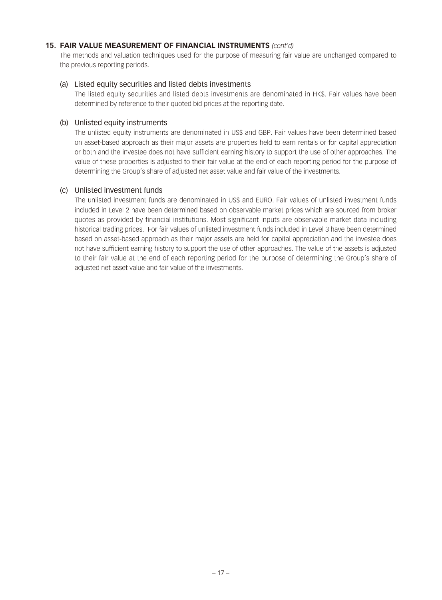### **15. FAIR VALUE MEASUREMENT OF FINANCIAL INSTRUMENTS** *(cont'd)*

The methods and valuation techniques used for the purpose of measuring fair value are unchanged compared to the previous reporting periods.

## (a) Listed equity securities and listed debts investments

The listed equity securities and listed debts investments are denominated in HK\$. Fair values have been determined by reference to their quoted bid prices at the reporting date.

### (b) Unlisted equity instruments

The unlisted equity instruments are denominated in US\$ and GBP. Fair values have been determined based on asset-based approach as their major assets are properties held to earn rentals or for capital appreciation or both and the investee does not have sufficient earning history to support the use of other approaches. The value of these properties is adjusted to their fair value at the end of each reporting period for the purpose of determining the Group's share of adjusted net asset value and fair value of the investments.

## (c) Unlisted investment funds

The unlisted investment funds are denominated in US\$ and EURO. Fair values of unlisted investment funds included in Level 2 have been determined based on observable market prices which are sourced from broker quotes as provided by financial institutions. Most significant inputs are observable market data including historical trading prices. For fair values of unlisted investment funds included in Level 3 have been determined based on asset-based approach as their major assets are held for capital appreciation and the investee does not have sufficient earning history to support the use of other approaches. The value of the assets is adjusted to their fair value at the end of each reporting period for the purpose of determining the Group's share of adjusted net asset value and fair value of the investments.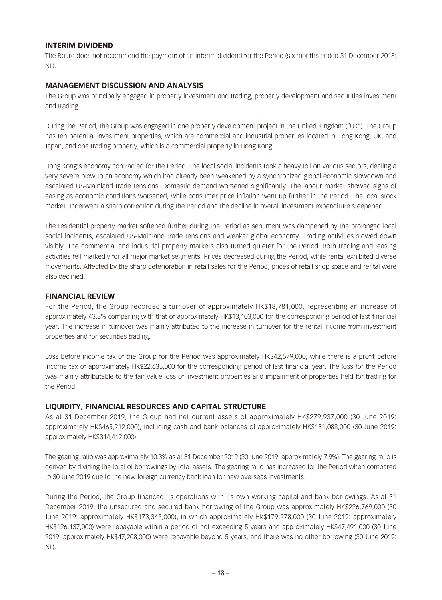## **INTERIM DIVIDEND**

The Board does not recommend the payment of an interim dividend for the Period (six months ended 31 December 2018: Nil).

## **MANAGEMENT DISCUSSION AND ANALYSIS**

The Group was principally engaged in property investment and trading, property development and securities investment and trading.

During the Period, the Group was engaged in one property development project in the United Kingdom ("UK"). The Group has ten potential investment properties, which are commercial and industrial properties located in Hong Kong, UK, and Japan, and one trading property, which is a commercial property in Hong Kong.

Hong Kong's economy contracted for the Period. The local social incidents took a heavy toll on various sectors, dealing a very severe blow to an economy which had already been weakened by a synchronized global economic slowdown and escalated US-Mainland trade tensions. Domestic demand worsened significantly. The labour market showed signs of easing as economic conditions worsened, while consumer price inflation went up further in the Period. The local stock market underwent a sharp correction during the Period and the decline in overall investment expenditure steepened.

The residential property market softened further during the Period as sentiment was dampened by the prolonged local social incidents, escalated US-Mainland trade tensions and weaker global economy. Trading activities slowed down visibly. The commercial and industrial property markets also turned quieter for the Period. Both trading and leasing activities fell markedly for all major market segments. Prices decreased during the Period, while rental exhibited diverse movements. Affected by the sharp deterioration in retail sales for the Period, prices of retail shop space and rental were also declined.

### **FINANCIAL REVIEW**

For the Period, the Group recorded a turnover of approximately HK\$18,781,000, representing an increase of approximately 43.3% comparing with that of approximately HK\$13,103,000 for the corresponding period of last financial year. The increase in turnover was mainly attributed to the increase in turnover for the rental income from investment properties and for securities trading.

Loss before income tax of the Group for the Period was approximately HK\$42,579,000, while there is a profit before income tax of approximately HK\$22,635,000 for the corresponding period of last financial year. The loss for the Period was mainly attributable to the fair value loss of investment properties and impairment of properties held for trading for the Period.

# **LIQUIDITY, FINANCIAL RESOURCES AND CAPITAL STRUCTURE**

As at 31 December 2019, the Group had net current assets of approximately HK\$279,937,000 (30 June 2019: approximately HK\$465,212,000), including cash and bank balances of approximately HK\$181,088,000 (30 June 2019: approximately HK\$314,412,000).

The gearing ratio was approximately 10.3% as at 31 December 2019 (30 June 2019: approximately 7.9%). The gearing ratio is derived by dividing the total of borrowings by total assets. The gearing ratio has increased for the Period when compared to 30 June 2019 due to the new foreign currency bank loan for new overseas investments.

During the Period, the Group financed its operations with its own working capital and bank borrowings. As at 31 December 2019, the unsecured and secured bank borrowing of the Group was approximately HK\$226,769,000 (30 June 2019: approximately HK\$173,345,000), in which approximately HK\$179,278,000 (30 June 2019: approximately HK\$126,137,000) were repayable within a period of not exceeding 5 years and approximately HK\$47,491,000 (30 June 2019: approximately HK\$47,208,000) were repayable beyond 5 years, and there was no other borrowing (30 June 2019: Nil).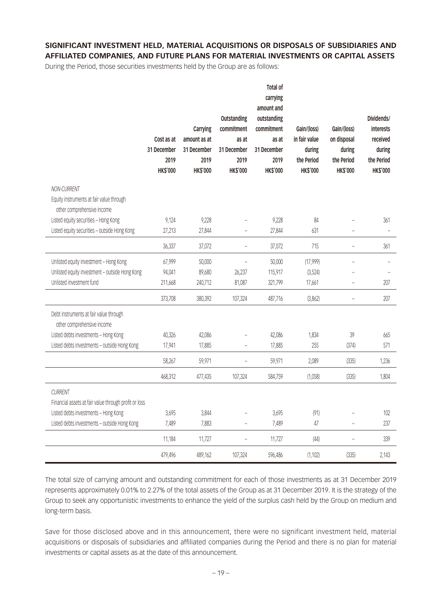# **SIGNIFICANT INVESTMENT HELD, MATERIAL ACQUISITIONS OR DISPOSALS OF SUBSIDIARIES AND AFFILIATED COMPANIES, AND FUTURE PLANS FOR MATERIAL INVESTMENTS OR CAPITAL ASSETS**

During the Period, those securities investments held by the Group are as follows:

|                                                                         | Cost as at<br>31 December<br>2019<br><b>HK\$'000</b> | Carrying<br>amount as at<br>31 December<br>2019<br><b>HK\$'000</b> | Outstanding<br>commitment<br>as at<br>31 December<br>2019<br><b>HK\$'000</b> | Total of<br>carrying<br>amount and<br>outstanding<br>commitment<br>as at<br>31 December<br>2019<br><b>HK\$'000</b> | Gain/(loss)<br>in fair value<br>during<br>the Period<br><b>HK\$'000</b> | Gain/(loss)<br>on disposal<br>during<br>the Period<br><b>HK\$'000</b> | Dividends/<br>interests<br>received<br>during<br>the Period<br><b>HK\$'000</b> |
|-------------------------------------------------------------------------|------------------------------------------------------|--------------------------------------------------------------------|------------------------------------------------------------------------------|--------------------------------------------------------------------------------------------------------------------|-------------------------------------------------------------------------|-----------------------------------------------------------------------|--------------------------------------------------------------------------------|
| NON-CURRENT                                                             |                                                      |                                                                    |                                                                              |                                                                                                                    |                                                                         |                                                                       |                                                                                |
| Equity instruments at fair value through<br>other comprehensive income  |                                                      |                                                                    |                                                                              |                                                                                                                    |                                                                         |                                                                       |                                                                                |
| Listed equity securities - Hong Kong                                    | 9,124                                                | 9,228                                                              |                                                                              | 9,228                                                                                                              | 84                                                                      |                                                                       | 361                                                                            |
| Listed equity securities - outside Hong Kong                            | 27,213                                               | 27,844                                                             | $\overline{\phantom{0}}$                                                     | 27,844                                                                                                             | 631                                                                     |                                                                       |                                                                                |
|                                                                         | 36,337                                               | 37,072                                                             | $\overline{\phantom{a}}$                                                     | 37,072                                                                                                             | 715                                                                     | ÷,                                                                    | 361                                                                            |
| Unlisted equity investment - Hong Kong                                  | 67,999                                               | 50,000                                                             | $\bar{ }$                                                                    | 50,000                                                                                                             | (17,999)                                                                | $\overline{a}$                                                        |                                                                                |
| Unlisted equity investment - outside Hong Kong                          | 94,041                                               | 89,680                                                             | 26,237                                                                       | 115,917                                                                                                            | (3,524)                                                                 |                                                                       |                                                                                |
| Unlisted investment fund                                                | 211,668                                              | 240,712                                                            | 81,087                                                                       | 321,799                                                                                                            | 17,661                                                                  | ÷                                                                     | 207                                                                            |
|                                                                         | 373,708                                              | 380,392                                                            | 107,324                                                                      | 487,716                                                                                                            | (3,862)                                                                 | ÷,                                                                    | 207                                                                            |
| Debt instruments at fair value through<br>other comprehensive income    |                                                      |                                                                    |                                                                              |                                                                                                                    |                                                                         |                                                                       |                                                                                |
| Listed debts investments - Hong Kong                                    | 40,326                                               | 42,086                                                             |                                                                              | 42,086                                                                                                             | 1,834                                                                   | 39                                                                    | 665                                                                            |
| Listed debts investments - outside Hong Kong                            | 17,941                                               | 17,885                                                             | $\bar{ }$                                                                    | 17,885                                                                                                             | 255                                                                     | (374)                                                                 | 571                                                                            |
|                                                                         | 58,267                                               | 59,971                                                             | ÷,                                                                           | 59,971                                                                                                             | 2,089                                                                   | (335)                                                                 | 1,236                                                                          |
|                                                                         | 468,312                                              | 477,435                                                            | 107,324                                                                      | 584,759                                                                                                            | (1,058)                                                                 | (335)                                                                 | 1,804                                                                          |
| <b>CURRENT</b><br>Financial assets at fair value through profit or loss |                                                      |                                                                    |                                                                              |                                                                                                                    |                                                                         |                                                                       |                                                                                |
| Listed debts investments - Hong Kong                                    | 3,695                                                | 3,844                                                              |                                                                              | 3,695                                                                                                              | (91)                                                                    |                                                                       | 102                                                                            |
| Listed debts investments - outside Hong Kong                            | 7,489                                                | 7,883                                                              | $\bar{ }$                                                                    | 7,489                                                                                                              | 47                                                                      | $\overline{a}$                                                        | 237                                                                            |
|                                                                         | 11,184                                               | 11,727                                                             | $\equiv$                                                                     | 11,727                                                                                                             | (44)                                                                    | $\overline{a}$                                                        | 339                                                                            |
|                                                                         | 479,496                                              | 489,162                                                            | 107,324                                                                      | 596,486                                                                                                            | (1, 102)                                                                | (335)                                                                 | 2,143                                                                          |

The total size of carrying amount and outstanding commitment for each of those investments as at 31 December 2019 represents approximately 0.01% to 2.27% of the total assets of the Group as at 31 December 2019. It is the strategy of the Group to seek any opportunistic investments to enhance the yield of the surplus cash held by the Group on medium and long-term basis.

Save for those disclosed above and in this announcement, there were no significant investment held, material acquisitions or disposals of subsidiaries and affiliated companies during the Period and there is no plan for material investments or capital assets as at the date of this announcement.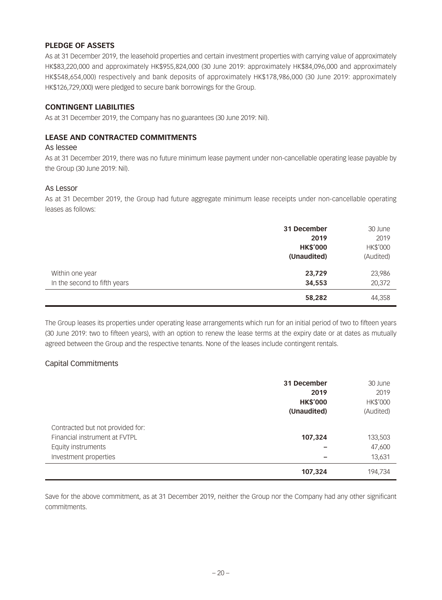# **PLEDGE OF ASSETS**

As at 31 December 2019, the leasehold properties and certain investment properties with carrying value of approximately HK\$83,220,000 and approximately HK\$955,824,000 (30 June 2019: approximately HK\$84,096,000 and approximately HK\$548,654,000) respectively and bank deposits of approximately HK\$178,986,000 (30 June 2019: approximately HK\$126,729,000) were pledged to secure bank borrowings for the Group.

## **CONTINGENT LIABILITIES**

As at 31 December 2019, the Company has no guarantees (30 June 2019: Nil).

# **LEASE AND CONTRACTED COMMITMENTS**

#### As lessee

As at 31 December 2019, there was no future minimum lease payment under non-cancellable operating lease payable by the Group (30 June 2019: Nil).

### As Lessor

As at 31 December 2019, the Group had future aggregate minimum lease receipts under non-cancellable operating leases as follows:

|                                                 | 31 December<br>2019<br><b>HK\$'000</b><br>(Unaudited) | 30 June<br>2019<br>HK\$'000<br>(Audited) |
|-------------------------------------------------|-------------------------------------------------------|------------------------------------------|
| Within one year<br>In the second to fifth years | 23,729<br>34,553                                      | 23,986<br>20,372                         |
|                                                 | 58,282                                                | 44,358                                   |

The Group leases its properties under operating lease arrangements which run for an initial period of two to fifteen years (30 June 2019: two to fifteen years), with an option to renew the lease terms at the expiry date or at dates as mutually agreed between the Group and the respective tenants. None of the leases include contingent rentals.

# Capital Commitments

|                                  | 31 December     | 30 June   |
|----------------------------------|-----------------|-----------|
|                                  | 2019            | 2019      |
|                                  | <b>HK\$'000</b> | HK\$'000  |
|                                  | (Unaudited)     | (Audited) |
| Contracted but not provided for: |                 |           |
| Financial instrument at FVTPL    | 107,324         | 133,503   |
| Equity instruments               |                 | 47,600    |
| Investment properties            |                 | 13,631    |
|                                  | 107,324         | 194,734   |

Save for the above commitment, as at 31 December 2019, neither the Group nor the Company had any other significant commitments.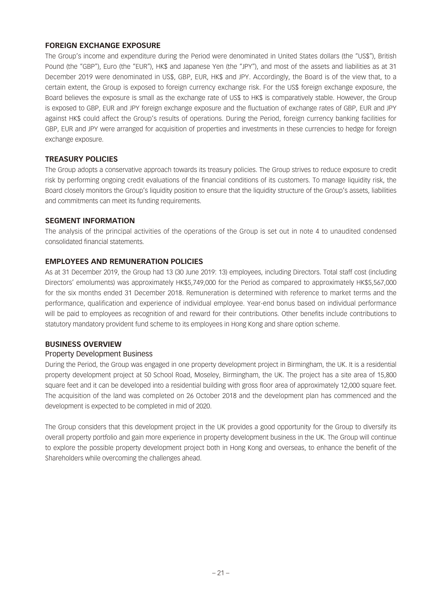# **FOREIGN EXCHANGE EXPOSURE**

The Group's income and expenditure during the Period were denominated in United States dollars (the "US\$"), British Pound (the "GBP"), Euro (the "EUR"), HK\$ and Japanese Yen (the "JPY"), and most of the assets and liabilities as at 31 December 2019 were denominated in US\$, GBP, EUR, HK\$ and JPY. Accordingly, the Board is of the view that, to a certain extent, the Group is exposed to foreign currency exchange risk. For the US\$ foreign exchange exposure, the Board believes the exposure is small as the exchange rate of US\$ to HK\$ is comparatively stable. However, the Group is exposed to GBP, EUR and JPY foreign exchange exposure and the fluctuation of exchange rates of GBP, EUR and JPY against HK\$ could affect the Group's results of operations. During the Period, foreign currency banking facilities for GBP, EUR and JPY were arranged for acquisition of properties and investments in these currencies to hedge for foreign exchange exposure.

## **TREASURY POLICIES**

The Group adopts a conservative approach towards its treasury policies. The Group strives to reduce exposure to credit risk by performing ongoing credit evaluations of the financial conditions of its customers. To manage liquidity risk, the Board closely monitors the Group's liquidity position to ensure that the liquidity structure of the Group's assets, liabilities and commitments can meet its funding requirements.

### **SEGMENT INFORMATION**

The analysis of the principal activities of the operations of the Group is set out in note 4 to unaudited condensed consolidated financial statements.

# **EMPLOYEES AND REMUNERATION POLICIES**

As at 31 December 2019, the Group had 13 (30 June 2019: 13) employees, including Directors. Total staff cost (including Directors' emoluments) was approximately HK\$5,749,000 for the Period as compared to approximately HK\$5,567,000 for the six months ended 31 December 2018. Remuneration is determined with reference to market terms and the performance, qualification and experience of individual employee. Year-end bonus based on individual performance will be paid to employees as recognition of and reward for their contributions. Other benefits include contributions to statutory mandatory provident fund scheme to its employees in Hong Kong and share option scheme.

### **BUSINESS OVERVIEW**

### Property Development Business

During the Period, the Group was engaged in one property development project in Birmingham, the UK. It is a residential property development project at 50 School Road, Moseley, Birmingham, the UK. The project has a site area of 15,800 square feet and it can be developed into a residential building with gross floor area of approximately 12,000 square feet. The acquisition of the land was completed on 26 October 2018 and the development plan has commenced and the development is expected to be completed in mid of 2020.

The Group considers that this development project in the UK provides a good opportunity for the Group to diversify its overall property portfolio and gain more experience in property development business in the UK. The Group will continue to explore the possible property development project both in Hong Kong and overseas, to enhance the benefit of the Shareholders while overcoming the challenges ahead.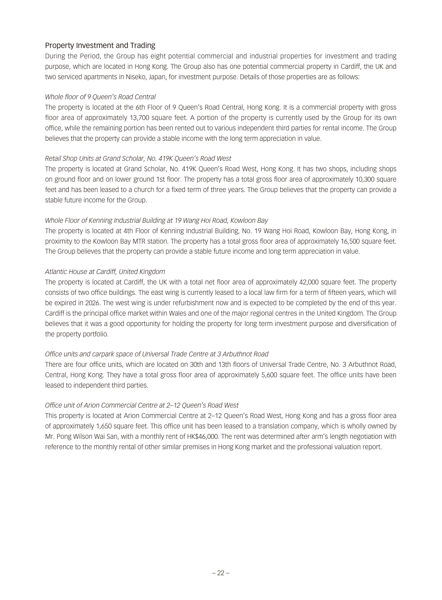# Property Investment and Trading

During the Period, the Group has eight potential commercial and industrial properties for investment and trading purpose, which are located in Hong Kong. The Group also has one potential commercial property in Cardiff, the UK and two serviced apartments in Niseko, Japan, for investment purpose. Details of those properties are as follows:

## *Whole floor of 9 Queen's Road Central*

The property is located at the 6th Floor of 9 Queen's Road Central, Hong Kong. It is a commercial property with gross floor area of approximately 13,700 square feet. A portion of the property is currently used by the Group for its own office, while the remaining portion has been rented out to various independent third parties for rental income. The Group believes that the property can provide a stable income with the long term appreciation in value.

## *Retail Shop Units at Grand Scholar, No. 419K Queen's Road West*

The property is located at Grand Scholar, No. 419K Queen's Road West, Hong Kong. It has two shops, including shops on ground floor and on lower ground 1st floor. The property has a total gross floor area of approximately 10,300 square feet and has been leased to a church for a fixed term of three years. The Group believes that the property can provide a stable future income for the Group.

## *Whole Floor of Kenning Industrial Building at 19 Wang Hoi Road, Kowloon Bay*

The property is located at 4th Floor of Kenning Industrial Building, No. 19 Wang Hoi Road, Kowloon Bay, Hong Kong, in proximity to the Kowloon Bay MTR station. The property has a total gross floor area of approximately 16,500 square feet. The Group believes that the property can provide a stable future income and long term appreciation in value.

## *Atlantic House at Cardiff, United Kingdom*

The property is located at Cardiff, the UK with a total net floor area of approximately 42,000 square feet. The property consists of two office buildings. The east wing is currently leased to a local law firm for a term of fifteen years, which will be expired in 2026. The west wing is under refurbishment now and is expected to be completed by the end of this year. Cardiff is the principal office market within Wales and one of the major regional centres in the United Kingdom. The Group believes that it was a good opportunity for holding the property for long term investment purpose and diversification of the property portfolio.

# *Office units and carpark space of Universal Trade Centre at 3 Arbuthnot Road*

There are four office units, which are located on 30th and 13th floors of Universal Trade Centre, No. 3 Arbuthnot Road, Central, Hong Kong. They have a total gross floor area of approximately 5,600 square feet. The office units have been leased to independent third parties.

### *Office unit of Arion Commercial Centre at 2–12 Queen's Road West*

This property is located at Arion Commercial Centre at 2–12 Queen's Road West, Hong Kong and has a gross floor area of approximately 1,650 square feet. This office unit has been leased to a translation company, which is wholly owned by Mr. Pong Wilson Wai San, with a monthly rent of HK\$46,000. The rent was determined after arm's length negotiation with reference to the monthly rental of other similar premises in Hong Kong market and the professional valuation report.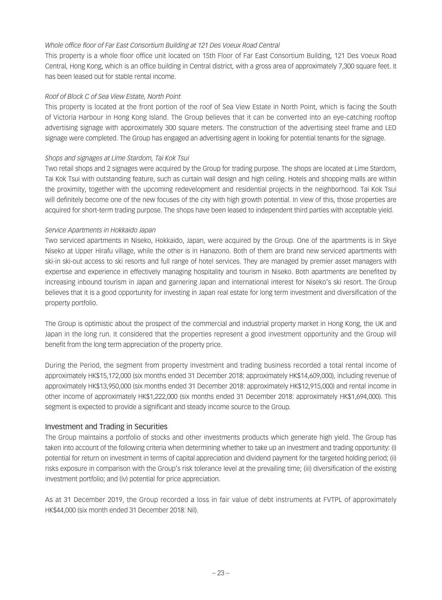## *Whole office floor of Far East Consortium Building at 121 Des Voeux Road Central*

This property is a whole floor office unit located on 15th Floor of Far East Consortium Building, 121 Des Voeux Road Central, Hong Kong, which is an office building in Central district, with a gross area of approximately 7,300 square feet. It has been leased out for stable rental income.

## *Roof of Block C of Sea View Estate, North Point*

This property is located at the front portion of the roof of Sea View Estate in North Point, which is facing the South of Victoria Harbour in Hong Kong Island. The Group believes that it can be converted into an eye-catching rooftop advertising signage with approximately 300 square meters. The construction of the advertising steel frame and LED signage were completed. The Group has engaged an advertising agent in looking for potential tenants for the signage.

## *Shops and signages at Lime Stardom, Tai Kok Tsui*

Two retail shops and 2 signages were acquired by the Group for trading purpose. The shops are located at Lime Stardom, Tai Kok Tsui with outstanding feature, such as curtain wall design and high ceiling. Hotels and shopping malls are within the proximity, together with the upcoming redevelopment and residential projects in the neighborhood. Tai Kok Tsui will definitely become one of the new focuses of the city with high growth potential. In view of this, those properties are acquired for short-term trading purpose. The shops have been leased to independent third parties with acceptable yield.

## *Service Apartments in Hokkaido Japan*

Two serviced apartments in Niseko, Hokkaido, Japan, were acquired by the Group. One of the apartments is in Skye Niseko at Upper Hirafu village, while the other is in Hanazono. Both of them are brand new serviced apartments with ski-in ski-out access to ski resorts and full range of hotel services. They are managed by premier asset managers with expertise and experience in effectively managing hospitality and tourism in Niseko. Both apartments are benefited by increasing inbound tourism in Japan and garnering Japan and international interest for Niseko's ski resort. The Group believes that it is a good opportunity for investing in Japan real estate for long term investment and diversification of the property portfolio.

The Group is optimistic about the prospect of the commercial and industrial property market in Hong Kong, the UK and Japan in the long run. It considered that the properties represent a good investment opportunity and the Group will benefit from the long term appreciation of the property price.

During the Period, the segment from property investment and trading business recorded a total rental income of approximately HK\$15,172,000 (six months ended 31 December 2018: approximately HK\$14,609,000), including revenue of approximately HK\$13,950,000 (six months ended 31 December 2018: approximately HK\$12,915,000) and rental income in other income of approximately HK\$1,222,000 (six months ended 31 December 2018: approximately HK\$1,694,000). This segment is expected to provide a significant and steady income source to the Group.

# Investment and Trading in Securities

The Group maintains a portfolio of stocks and other investments products which generate high yield. The Group has taken into account of the following criteria when determining whether to take up an investment and trading opportunity: (i) potential for return on investment in terms of capital appreciation and dividend payment for the targeted holding period; (ii) risks exposure in comparison with the Group's risk tolerance level at the prevailing time; (iii) diversification of the existing investment portfolio; and (iv) potential for price appreciation.

As at 31 December 2019, the Group recorded a loss in fair value of debt instruments at FVTPL of approximately HK\$44,000 (six month ended 31 December 2018: Nil).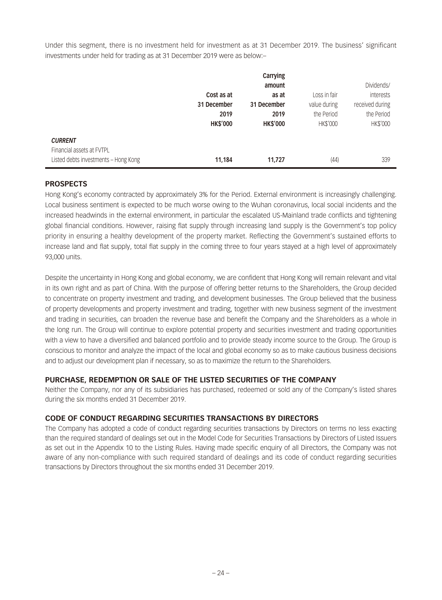Under this segment, there is no investment held for investment as at 31 December 2019. The business' significant investments under held for trading as at 31 December 2019 were as below:–

|                                      |                 | Carrying        |              |                 |
|--------------------------------------|-----------------|-----------------|--------------|-----------------|
|                                      |                 | amount          |              | Dividends/      |
|                                      | Cost as at      | as at           | Loss in fair | interests       |
|                                      | 31 December     | 31 December     | value during | received during |
|                                      | 2019            | 2019            | the Period   | the Period      |
|                                      | <b>HK\$'000</b> | <b>HK\$'000</b> | HK\$'000     | HK\$'000        |
| <b>CURRENT</b>                       |                 |                 |              |                 |
| Financial assets at FVTPL            |                 |                 |              |                 |
| Listed debts investments - Hong Kong | 11,184          | 11,727          | (44)         | 339             |

# **PROSPECTS**

Hong Kong's economy contracted by approximately 3% for the Period. External environment is increasingly challenging. Local business sentiment is expected to be much worse owing to the Wuhan coronavirus, local social incidents and the increased headwinds in the external environment, in particular the escalated US-Mainland trade conflicts and tightening global financial conditions. However, raising flat supply through increasing land supply is the Government's top policy priority in ensuring a healthy development of the property market. Reflecting the Government's sustained efforts to increase land and flat supply, total flat supply in the coming three to four years stayed at a high level of approximately 93,000 units.

Despite the uncertainty in Hong Kong and global economy, we are confident that Hong Kong will remain relevant and vital in its own right and as part of China. With the purpose of offering better returns to the Shareholders, the Group decided to concentrate on property investment and trading, and development businesses. The Group believed that the business of property developments and property investment and trading, together with new business segment of the investment and trading in securities, can broaden the revenue base and benefit the Company and the Shareholders as a whole in the long run. The Group will continue to explore potential property and securities investment and trading opportunities with a view to have a diversified and balanced portfolio and to provide steady income source to the Group. The Group is conscious to monitor and analyze the impact of the local and global economy so as to make cautious business decisions and to adjust our development plan if necessary, so as to maximize the return to the Shareholders.

# **PURCHASE, REDEMPTION OR SALE OF THE LISTED SECURITIES OF THE COMPANY**

Neither the Company, nor any of its subsidiaries has purchased, redeemed or sold any of the Company's listed shares during the six months ended 31 December 2019.

### **CODE OF CONDUCT REGARDING SECURITIES TRANSACTIONS BY DIRECTORS**

The Company has adopted a code of conduct regarding securities transactions by Directors on terms no less exacting than the required standard of dealings set out in the Model Code for Securities Transactions by Directors of Listed Issuers as set out in the Appendix 10 to the Listing Rules. Having made specific enquiry of all Directors, the Company was not aware of any non-compliance with such required standard of dealings and its code of conduct regarding securities transactions by Directors throughout the six months ended 31 December 2019.